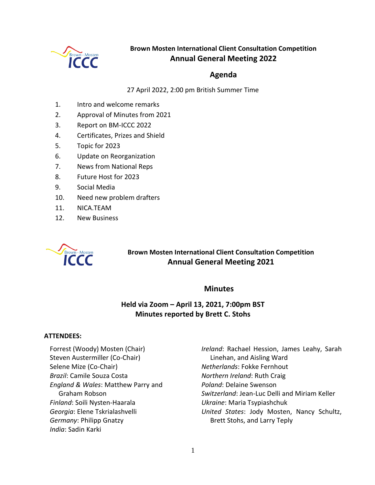

# **Brown Mosten International Client Consultation Competition Annual General Meeting 2022**

## **Agenda**

27 April 2022, 2:00 pm British Summer Time

- 1. Intro and welcome remarks
- 2. Approval of Minutes from 2021
- 3. Report on BM-ICCC 2022
- 4. Certificates, Prizes and Shield
- 5. Topic for 2023
- 6. Update on Reorganization
- 7. News from National Reps
- 8. Future Host for 2023
- 9. Social Media
- 10. Need new problem drafters
- 11. NICA.TEAM
- 12. New Business



**Brown Mosten International Client Consultation Competition Annual General Meeting 2021**

## **Minutes**

# **Held via Zoom – April 13, 2021, 7:00pm BST Minutes reported by Brett C. Stohs**

### **ATTENDEES:**

Forrest (Woody) Mosten (Chair) Steven Austermiller (Co-Chair) Selene Mize (Co-Chair) *Brazil*: Camile Souza Costa *England & Wales*: Matthew Parry and Graham Robson *Finland*: Soili Nysten-Haarala *Georgia*: Elene Tskrialashvelli *Germany*: Philipp Gnatzy *India*: Sadin Karki

*Ireland*: Rachael Hession, James Leahy, Sarah Linehan, and Aisling Ward *Netherlands*: Fokke Fernhout *Northern Ireland*: Ruth Craig *Poland*: Delaine Swenson *Switzerland*: Jean-Luc Delli and Miriam Keller *Ukraine*: Maria Tsypiashchuk *United States*: Jody Mosten, Nancy Schultz, Brett Stohs, and Larry Teply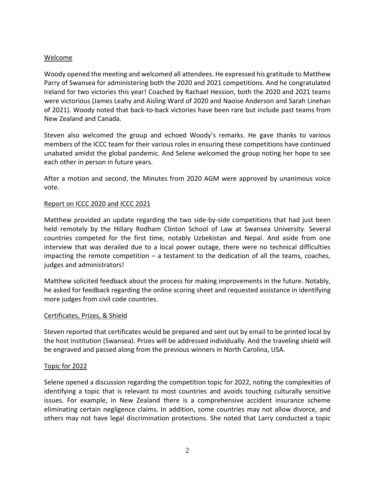## Welcome

Woody opened the meeting and welcomed all attendees. He expressed his gratitude to Matthew Parry of Swansea for administering both the 2020 and 2021 competitions. And he congratulated Ireland for two victories this year! Coached by Rachael Hession, both the 2020 and 2021 teams were victorious (James Leahy and Aisling Ward of 2020 and Naoise Anderson and Sarah Linehan of 2021). Woody noted that back-to-back victories have been rare but include past teams from New Zealand and Canada.

Steven also welcomed the group and echoed Woody's remarks. He gave thanks to various members of the ICCC team for their various roles in ensuring these competitions have continued unabated amidst the global pandemic. And Selene welcomed the group noting her hope to see each other in person in future years.

After a motion and second, the Minutes from 2020 AGM were approved by unanimous voice vote.

## Report on ICCC 2020 and ICCC 2021

Matthew provided an update regarding the two side-by-side competitions that had just been held remotely by the Hillary Rodham Clinton School of Law at Swansea University. Several countries competed for the first time, notably Uzbekistan and Nepal. And aside from one interview that was derailed due to a local power outage, there were no technical difficulties impacting the remote competition  $-$  a testament to the dedication of all the teams, coaches, judges and administrators!

Matthew solicited feedback about the process for making improvements in the future. Notably, he asked for feedback regarding the online scoring sheet and requested assistance in identifying more judges from civil code countries.

### Certificates, Prizes, & Shield

Steven reported that certificates would be prepared and sent out by email to be printed local by the host institution (Swansea). Prizes will be addressed individually. And the traveling shield will be engraved and passed along from the previous winners in North Carolina, USA.

### Topic for 2022

Selene opened a discussion regarding the competition topic for 2022, noting the complexities of identifying a topic that is relevant to most countries and avoids touching culturally sensitive issues. For example, in New Zealand there is a comprehensive accident insurance scheme eliminating certain negligence claims. In addition, some countries may not allow divorce, and others may not have legal discrimination protections. She noted that Larry conducted a topic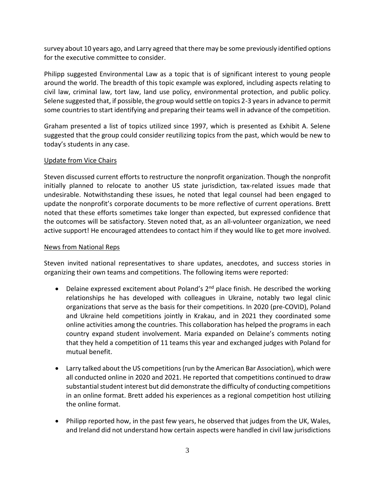survey about 10 years ago, and Larry agreed that there may be some previously identified options for the executive committee to consider.

Philipp suggested Environmental Law as a topic that is of significant interest to young people around the world. The breadth of this topic example was explored, including aspects relating to civil law, criminal law, tort law, land use policy, environmental protection, and public policy. Selene suggested that, if possible, the group would settle on topics 2-3 years in advance to permit some countries to start identifying and preparing their teams well in advance of the competition.

Graham presented a list of topics utilized since 1997, which is presented as Exhibit A. Selene suggested that the group could consider reutilizing topics from the past, which would be new to today's students in any case.

## Update from Vice Chairs

Steven discussed current efforts to restructure the nonprofit organization. Though the nonprofit initially planned to relocate to another US state jurisdiction, tax-related issues made that undesirable. Notwithstanding these issues, he noted that legal counsel had been engaged to update the nonprofit's corporate documents to be more reflective of current operations. Brett noted that these efforts sometimes take longer than expected, but expressed confidence that the outcomes will be satisfactory. Steven noted that, as an all-volunteer organization, we need active support! He encouraged attendees to contact him if they would like to get more involved.

### News from National Reps

Steven invited national representatives to share updates, anecdotes, and success stories in organizing their own teams and competitions. The following items were reported:

- Delaine expressed excitement about Poland's 2<sup>nd</sup> place finish. He described the working relationships he has developed with colleagues in Ukraine, notably two legal clinic organizations that serve as the basis for their competitions. In 2020 (pre-COVID), Poland and Ukraine held competitions jointly in Krakau, and in 2021 they coordinated some online activities among the countries. This collaboration has helped the programs in each country expand student involvement. Maria expanded on Delaine's comments noting that they held a competition of 11 teams this year and exchanged judges with Poland for mutual benefit.
- Larry talked about the US competitions (run by the American Bar Association), which were all conducted online in 2020 and 2021. He reported that competitions continued to draw substantial student interest but did demonstrate the difficulty of conducting competitions in an online format. Brett added his experiences as a regional competition host utilizing the online format.
- Philipp reported how, in the past few years, he observed that judges from the UK, Wales, and Ireland did not understand how certain aspects were handled in civil law jurisdictions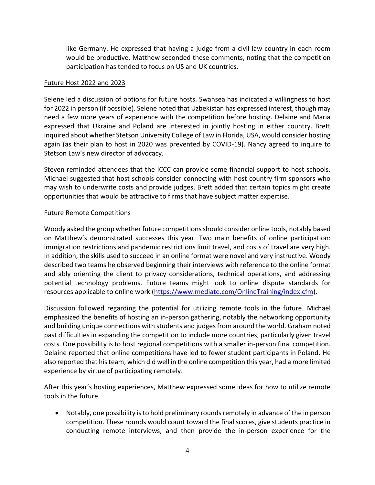like Germany. He expressed that having a judge from a civil law country in each room would be productive. Matthew seconded these comments, noting that the competition participation has tended to focus on US and UK countries.

#### Future Host 2022 and 2023

Selene led a discussion of options for future hosts. Swansea has indicated a willingness to host for 2022 in person (if possible). Selene noted that Uzbekistan has expressed interest, though may need a few more years of experience with the competition before hosting. Delaine and Maria expressed that Ukraine and Poland are interested in jointly hosting in either country. Brett inquired about whether Stetson University College of Law in Florida, USA, would consider hosting again (as their plan to host in 2020 was prevented by COVID-19). Nancy agreed to inquire to Stetson Law's new director of advocacy.

Steven reminded attendees that the ICCC can provide some financial support to host schools. Michael suggested that host schools consider connecting with host country firm sponsors who may wish to underwrite costs and provide judges. Brett added that certain topics might create opportunities that would be attractive to firms that have subject matter expertise.

### Future Remote Competitions

Woody asked the group whether future competitions should consider online tools, notably based on Matthew's demonstrated successes this year. Two main benefits of online participation: immigration restrictions and pandemic restrictions limit travel, and costs of travel are very high. In addition, the skills used to succeed in an online format were novel and very instructive. Woody described two teams he observed beginning their interviews with reference to the online format and ably orienting the client to privacy considerations, technical operations, and addressing potential technology problems. Future teams might look to online dispute standards for resources applicable to online work [\(https://www.mediate.com/OnlineTraining/index.cfm\)](https://www.mediate.com/OnlineTraining/index.cfm).

Discussion followed regarding the potential for utilizing remote tools in the future. Michael emphasized the benefits of hosting an in-person gathering, notably the networking opportunity and building unique connections with students and judges from around the world. Graham noted past difficulties in expanding the competition to include more countries, particularly given travel costs. One possibility is to host regional competitions with a smaller in-person final competition. Delaine reported that online competitions have led to fewer student participants in Poland. He also reported that his team, which did well in the online competition this year, had a more limited experience by virtue of participating remotely.

After this year's hosting experiences, Matthew expressed some ideas for how to utilize remote tools in the future.

 Notably, one possibility isto hold preliminary rounds remotely in advance of the in person competition. These rounds would count toward the final scores, give students practice in conducting remote interviews, and then provide the in-person experience for the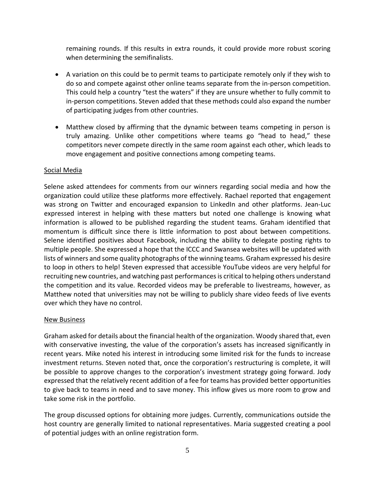remaining rounds. If this results in extra rounds, it could provide more robust scoring when determining the semifinalists.

- A variation on this could be to permit teams to participate remotely only if they wish to do so and compete against other online teams separate from the in-person competition. This could help a country "test the waters" if they are unsure whether to fully commit to in-person competitions. Steven added that these methods could also expand the number of participating judges from other countries.
- Matthew closed by affirming that the dynamic between teams competing in person is truly amazing. Unlike other competitions where teams go "head to head," these competitors never compete directly in the same room against each other, which leads to move engagement and positive connections among competing teams.

## Social Media

Selene asked attendees for comments from our winners regarding social media and how the organization could utilize these platforms more effectively. Rachael reported that engagement was strong on Twitter and encouraged expansion to LinkedIn and other platforms. Jean-Luc expressed interest in helping with these matters but noted one challenge is knowing what information is allowed to be published regarding the student teams. Graham identified that momentum is difficult since there is little information to post about between competitions. Selene identified positives about Facebook, including the ability to delegate posting rights to multiple people. She expressed a hope that the ICCC and Swansea websites will be updated with lists of winners and some quality photographs of the winning teams. Graham expressed his desire to loop in others to help! Steven expressed that accessible YouTube videos are very helpful for recruiting new countries, and watching past performances is critical to helping others understand the competition and its value. Recorded videos may be preferable to livestreams, however, as Matthew noted that universities may not be willing to publicly share video feeds of live events over which they have no control.

### New Business

Graham asked for details about the financial health of the organization. Woody shared that, even with conservative investing, the value of the corporation's assets has increased significantly in recent years. Mike noted his interest in introducing some limited risk for the funds to increase investment returns. Steven noted that, once the corporation's restructuring is complete, it will be possible to approve changes to the corporation's investment strategy going forward. Jody expressed that the relatively recent addition of a fee for teams has provided better opportunities to give back to teams in need and to save money. This inflow gives us more room to grow and take some risk in the portfolio.

The group discussed options for obtaining more judges. Currently, communications outside the host country are generally limited to national representatives. Maria suggested creating a pool of potential judges with an online registration form.